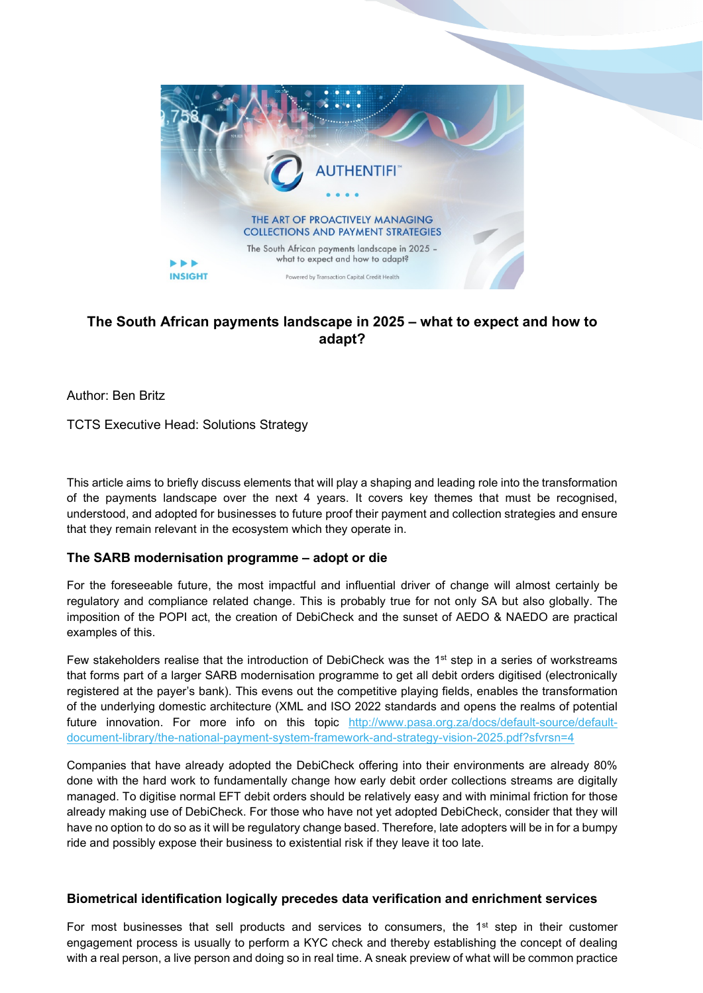

# **The South African payments landscape in 2025 – what to expect and how to adapt?**

Author: Ben Britz

TCTS Executive Head: Solutions Strategy

This article aims to briefly discuss elements that will play a shaping and leading role into the transformation of the payments landscape over the next 4 years. It covers key themes that must be recognised, understood, and adopted for businesses to future proof their payment and collection strategies and ensure that they remain relevant in the ecosystem which they operate in.

## **The SARB modernisation programme – adopt or die**

For the foreseeable future, the most impactful and influential driver of change will almost certainly be regulatory and compliance related change. This is probably true for not only SA but also globally. The imposition of the POPI act, the creation of DebiCheck and the sunset of AEDO & NAEDO are practical examples of this.

Few stakeholders realise that the introduction of DebiCheck was the 1<sup>st</sup> step in a series of workstreams that forms part of a larger SARB modernisation programme to get all debit orders digitised (electronically registered at the payer's bank). This evens out the competitive playing fields, enables the transformation of the underlying domestic architecture (XML and ISO 2022 standards and opens the realms of potential future innovation. For more info on this topic [http://www.pasa.org.za/docs/default-source/default](http://www.pasa.org.za/docs/default-source/default-document-library/the-national-payment-system-framework-and-strategy-vision-2025.pdf?sfvrsn=4)[document-library/the-national-payment-system-framework-and-strategy-vision-2025.pdf?sfvrsn=4](http://www.pasa.org.za/docs/default-source/default-document-library/the-national-payment-system-framework-and-strategy-vision-2025.pdf?sfvrsn=4)

Companies that have already adopted the DebiCheck offering into their environments are already 80% done with the hard work to fundamentally change how early debit order collections streams are digitally managed. To digitise normal EFT debit orders should be relatively easy and with minimal friction for those already making use of DebiCheck. For those who have not yet adopted DebiCheck, consider that they will have no option to do so as it will be regulatory change based. Therefore, late adopters will be in for a bumpy ride and possibly expose their business to existential risk if they leave it too late.

#### **Biometrical identification logically precedes data verification and enrichment services**

For most businesses that sell products and services to consumers, the  $1<sup>st</sup>$  step in their customer engagement process is usually to perform a KYC check and thereby establishing the concept of dealing with a real person, a live person and doing so in real time. A sneak preview of what will be common practice